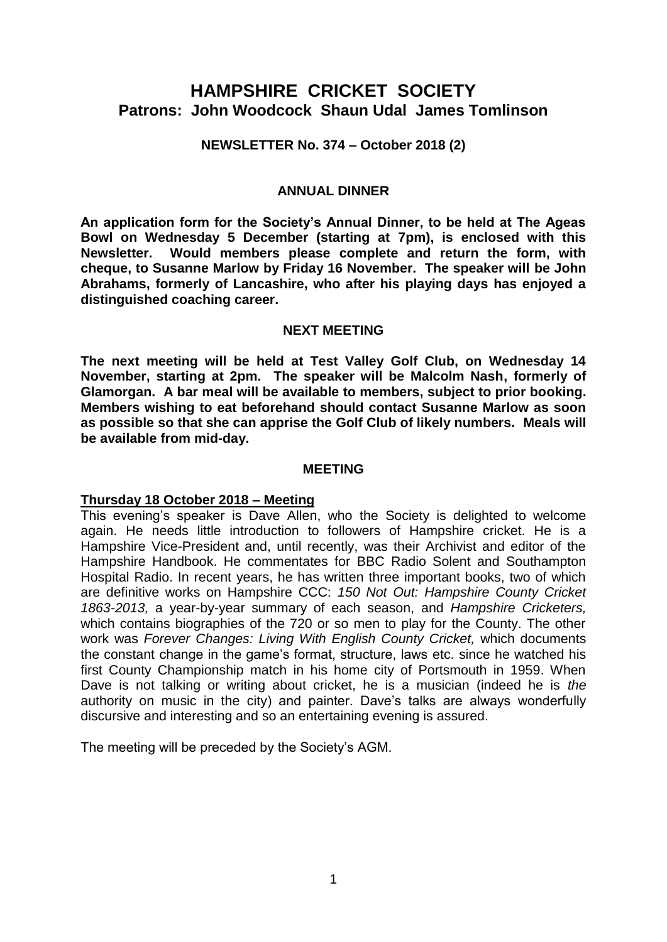# **HAMPSHIRE CRICKET SOCIETY Patrons: John Woodcock Shaun Udal James Tomlinson**

**NEWSLETTER No. 374 – October 2018 (2)**

## **ANNUAL DINNER**

**An application form for the Society's Annual Dinner, to be held at The Ageas Bowl on Wednesday 5 December (starting at 7pm), is enclosed with this Newsletter. Would members please complete and return the form, with cheque, to Susanne Marlow by Friday 16 November. The speaker will be John Abrahams, formerly of Lancashire, who after his playing days has enjoyed a distinguished coaching career.**

## **NEXT MEETING**

**The next meeting will be held at Test Valley Golf Club, on Wednesday 14 November, starting at 2pm. The speaker will be Malcolm Nash, formerly of Glamorgan. A bar meal will be available to members, subject to prior booking. Members wishing to eat beforehand should contact Susanne Marlow as soon as possible so that she can apprise the Golf Club of likely numbers. Meals will be available from mid-day.**

#### **MEETING**

#### **Thursday 18 October 2018 – Meeting**

This evening's speaker is Dave Allen, who the Society is delighted to welcome again. He needs little introduction to followers of Hampshire cricket. He is a Hampshire Vice-President and, until recently, was their Archivist and editor of the Hampshire Handbook. He commentates for BBC Radio Solent and Southampton Hospital Radio. In recent years, he has written three important books, two of which are definitive works on Hampshire CCC: *150 Not Out: Hampshire County Cricket 1863-2013,* a year-by-year summary of each season, and *Hampshire Cricketers,*  which contains biographies of the 720 or so men to play for the County. The other work was *Forever Changes: Living With English County Cricket,* which documents the constant change in the game's format, structure, laws etc. since he watched his first County Championship match in his home city of Portsmouth in 1959. When Dave is not talking or writing about cricket, he is a musician (indeed he is *the*  authority on music in the city) and painter. Dave's talks are always wonderfully discursive and interesting and so an entertaining evening is assured.

The meeting will be preceded by the Society's AGM.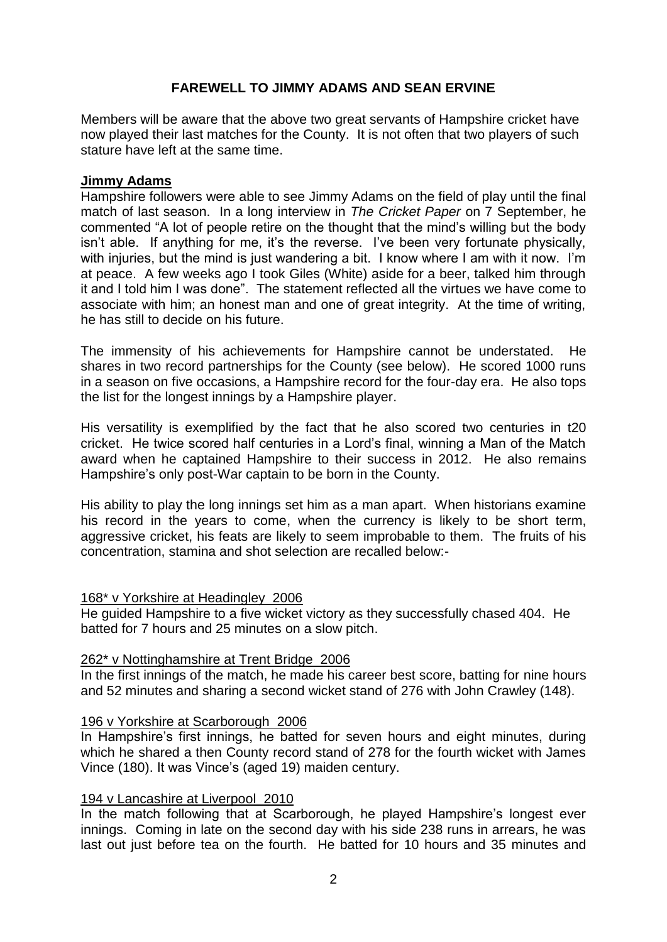# **FAREWELL TO JIMMY ADAMS AND SEAN ERVINE**

Members will be aware that the above two great servants of Hampshire cricket have now played their last matches for the County. It is not often that two players of such stature have left at the same time.

## **Jimmy Adams**

Hampshire followers were able to see Jimmy Adams on the field of play until the final match of last season. In a long interview in *The Cricket Paper* on 7 September, he commented "A lot of people retire on the thought that the mind's willing but the body isn't able. If anything for me, it's the reverse. I've been very fortunate physically, with injuries, but the mind is just wandering a bit. I know where I am with it now. I'm at peace. A few weeks ago I took Giles (White) aside for a beer, talked him through it and I told him I was done". The statement reflected all the virtues we have come to associate with him; an honest man and one of great integrity. At the time of writing, he has still to decide on his future.

The immensity of his achievements for Hampshire cannot be understated. He shares in two record partnerships for the County (see below). He scored 1000 runs in a season on five occasions, a Hampshire record for the four-day era. He also tops the list for the longest innings by a Hampshire player.

His versatility is exemplified by the fact that he also scored two centuries in t20 cricket. He twice scored half centuries in a Lord's final, winning a Man of the Match award when he captained Hampshire to their success in 2012. He also remains Hampshire's only post-War captain to be born in the County.

His ability to play the long innings set him as a man apart. When historians examine his record in the years to come, when the currency is likely to be short term, aggressive cricket, his feats are likely to seem improbable to them. The fruits of his concentration, stamina and shot selection are recalled below:-

## 168\* v Yorkshire at Headingley 2006

He guided Hampshire to a five wicket victory as they successfully chased 404. He batted for 7 hours and 25 minutes on a slow pitch.

#### 262\* v Nottinghamshire at Trent Bridge 2006

In the first innings of the match, he made his career best score, batting for nine hours and 52 minutes and sharing a second wicket stand of 276 with John Crawley (148).

#### 196 v Yorkshire at Scarborough 2006

In Hampshire's first innings, he batted for seven hours and eight minutes, during which he shared a then County record stand of 278 for the fourth wicket with James Vince (180). It was Vince's (aged 19) maiden century.

## 194 v Lancashire at Liverpool 2010

In the match following that at Scarborough, he played Hampshire's longest ever innings. Coming in late on the second day with his side 238 runs in arrears, he was last out just before tea on the fourth. He batted for 10 hours and 35 minutes and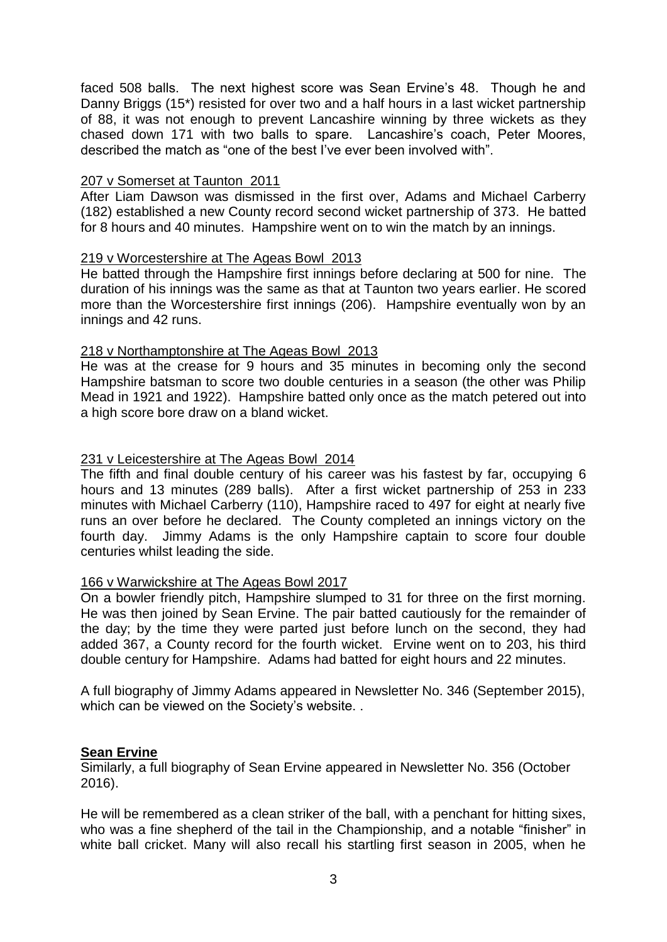faced 508 balls. The next highest score was Sean Ervine's 48. Though he and Danny Briggs (15\*) resisted for over two and a half hours in a last wicket partnership of 88, it was not enough to prevent Lancashire winning by three wickets as they chased down 171 with two balls to spare. Lancashire's coach, Peter Moores, described the match as "one of the best I've ever been involved with".

## 207 v Somerset at Taunton 2011

After Liam Dawson was dismissed in the first over, Adams and Michael Carberry (182) established a new County record second wicket partnership of 373. He batted for 8 hours and 40 minutes. Hampshire went on to win the match by an innings.

## 219 v Worcestershire at The Ageas Bowl 2013

He batted through the Hampshire first innings before declaring at 500 for nine. The duration of his innings was the same as that at Taunton two years earlier. He scored more than the Worcestershire first innings (206). Hampshire eventually won by an innings and 42 runs.

## 218 v Northamptonshire at The Ageas Bowl 2013

He was at the crease for 9 hours and 35 minutes in becoming only the second Hampshire batsman to score two double centuries in a season (the other was Philip Mead in 1921 and 1922). Hampshire batted only once as the match petered out into a high score bore draw on a bland wicket.

## 231 v Leicestershire at The Ageas Bowl 2014

The fifth and final double century of his career was his fastest by far, occupying 6 hours and 13 minutes (289 balls). After a first wicket partnership of 253 in 233 minutes with Michael Carberry (110), Hampshire raced to 497 for eight at nearly five runs an over before he declared. The County completed an innings victory on the fourth day. Jimmy Adams is the only Hampshire captain to score four double centuries whilst leading the side.

#### 166 v Warwickshire at The Ageas Bowl 2017

On a bowler friendly pitch, Hampshire slumped to 31 for three on the first morning. He was then joined by Sean Ervine. The pair batted cautiously for the remainder of the day; by the time they were parted just before lunch on the second, they had added 367, a County record for the fourth wicket. Ervine went on to 203, his third double century for Hampshire. Adams had batted for eight hours and 22 minutes.

A full biography of Jimmy Adams appeared in Newsletter No. 346 (September 2015), which can be viewed on the Society's website. .

#### **Sean Ervine**

Similarly, a full biography of Sean Ervine appeared in Newsletter No. 356 (October 2016).

He will be remembered as a clean striker of the ball, with a penchant for hitting sixes, who was a fine shepherd of the tail in the Championship, and a notable "finisher" in white ball cricket. Many will also recall his startling first season in 2005, when he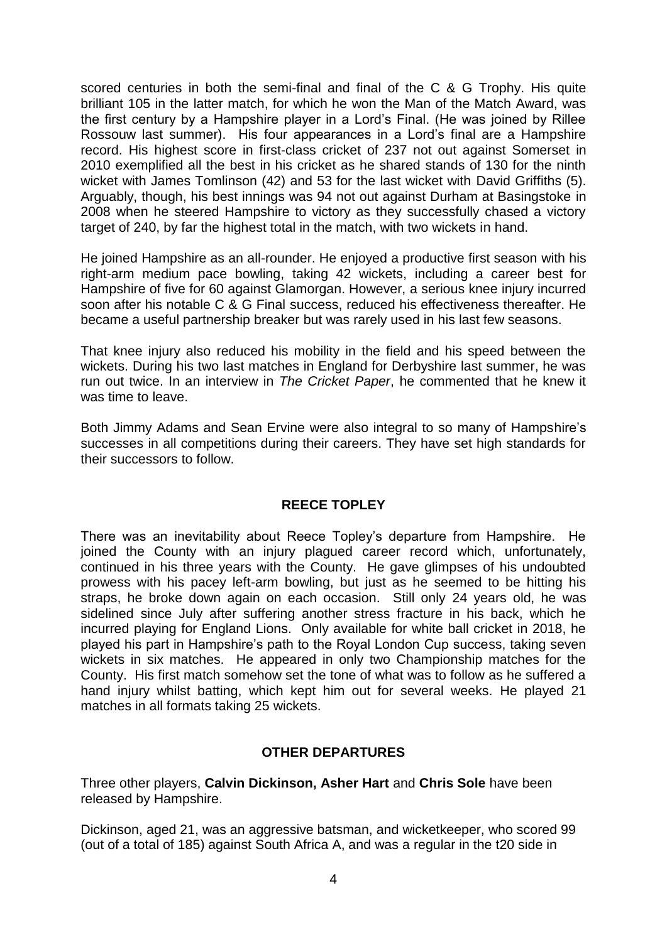scored centuries in both the semi-final and final of the C & G Trophy. His quite brilliant 105 in the latter match, for which he won the Man of the Match Award, was the first century by a Hampshire player in a Lord's Final. (He was joined by Rillee Rossouw last summer). His four appearances in a Lord's final are a Hampshire record. His highest score in first-class cricket of 237 not out against Somerset in 2010 exemplified all the best in his cricket as he shared stands of 130 for the ninth wicket with James Tomlinson (42) and 53 for the last wicket with David Griffiths (5). Arguably, though, his best innings was 94 not out against Durham at Basingstoke in 2008 when he steered Hampshire to victory as they successfully chased a victory target of 240, by far the highest total in the match, with two wickets in hand.

He joined Hampshire as an all-rounder. He enjoyed a productive first season with his right-arm medium pace bowling, taking 42 wickets, including a career best for Hampshire of five for 60 against Glamorgan. However, a serious knee injury incurred soon after his notable C & G Final success, reduced his effectiveness thereafter. He became a useful partnership breaker but was rarely used in his last few seasons.

That knee injury also reduced his mobility in the field and his speed between the wickets. During his two last matches in England for Derbyshire last summer, he was run out twice. In an interview in *The Cricket Paper*, he commented that he knew it was time to leave.

Both Jimmy Adams and Sean Ervine were also integral to so many of Hampshire's successes in all competitions during their careers. They have set high standards for their successors to follow.

## **REECE TOPLEY**

There was an inevitability about Reece Topley's departure from Hampshire. He joined the County with an injury plagued career record which, unfortunately, continued in his three years with the County. He gave glimpses of his undoubted prowess with his pacey left-arm bowling, but just as he seemed to be hitting his straps, he broke down again on each occasion. Still only 24 years old, he was sidelined since July after suffering another stress fracture in his back, which he incurred playing for England Lions. Only available for white ball cricket in 2018, he played his part in Hampshire's path to the Royal London Cup success, taking seven wickets in six matches. He appeared in only two Championship matches for the County. His first match somehow set the tone of what was to follow as he suffered a hand injury whilst batting, which kept him out for several weeks. He played 21 matches in all formats taking 25 wickets.

## **OTHER DEPARTURES**

Three other players, **Calvin Dickinson, Asher Hart** and **Chris Sole** have been released by Hampshire.

Dickinson, aged 21, was an aggressive batsman, and wicketkeeper, who scored 99 (out of a total of 185) against South Africa A, and was a regular in the t20 side in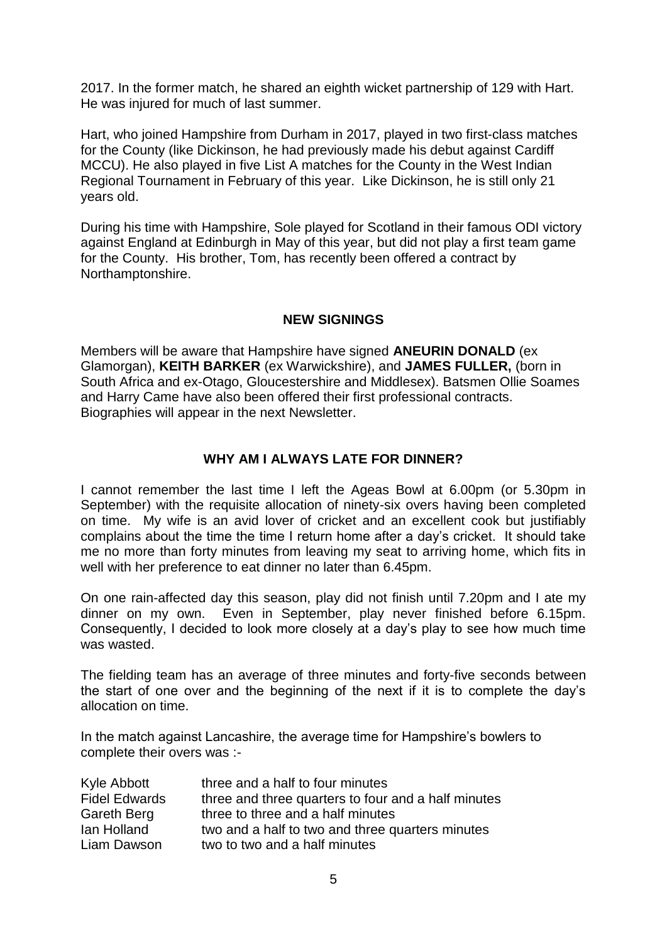2017. In the former match, he shared an eighth wicket partnership of 129 with Hart. He was injured for much of last summer.

Hart, who joined Hampshire from Durham in 2017, played in two first-class matches for the County (like Dickinson, he had previously made his debut against Cardiff MCCU). He also played in five List A matches for the County in the West Indian Regional Tournament in February of this year. Like Dickinson, he is still only 21 years old.

During his time with Hampshire, Sole played for Scotland in their famous ODI victory against England at Edinburgh in May of this year, but did not play a first team game for the County. His brother, Tom, has recently been offered a contract by Northamptonshire.

# **NEW SIGNINGS**

Members will be aware that Hampshire have signed **ANEURIN DONALD** (ex Glamorgan), **KEITH BARKER** (ex Warwickshire), and **JAMES FULLER,** (born in South Africa and ex-Otago, Gloucestershire and Middlesex). Batsmen Ollie Soames and Harry Came have also been offered their first professional contracts. Biographies will appear in the next Newsletter.

# **WHY AM I ALWAYS LATE FOR DINNER?**

I cannot remember the last time I left the Ageas Bowl at 6.00pm (or 5.30pm in September) with the requisite allocation of ninety-six overs having been completed on time. My wife is an avid lover of cricket and an excellent cook but justifiably complains about the time the time I return home after a day's cricket. It should take me no more than forty minutes from leaving my seat to arriving home, which fits in well with her preference to eat dinner no later than 6.45pm.

On one rain-affected day this season, play did not finish until 7.20pm and I ate my dinner on my own. Even in September, play never finished before 6.15pm. Consequently, I decided to look more closely at a day's play to see how much time was wasted.

The fielding team has an average of three minutes and forty-five seconds between the start of one over and the beginning of the next if it is to complete the day's allocation on time.

In the match against Lancashire, the average time for Hampshire's bowlers to complete their overs was :-

| Kyle Abbott          | three and a half to four minutes                    |
|----------------------|-----------------------------------------------------|
| <b>Fidel Edwards</b> | three and three quarters to four and a half minutes |
| Gareth Berg          | three to three and a half minutes                   |
| lan Holland          | two and a half to two and three quarters minutes    |
| Liam Dawson          | two to two and a half minutes                       |